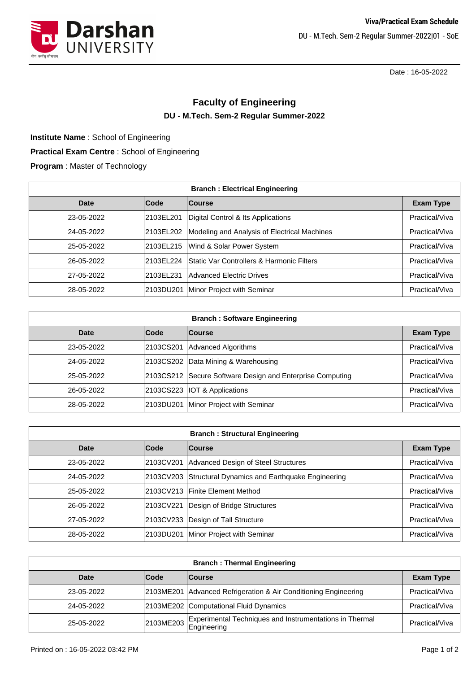



Date : 16-05-2022

## **Faculty of Engineering DU - M.Tech. Sem-2 Regular Summer-2022**

**Practical Exam Centre** : School of Engineering **Program** : Master of Technology **Institute Name** : School of Engineering

| <b>Branch: Electrical Engineering</b> |           |                                              |                  |
|---------------------------------------|-----------|----------------------------------------------|------------------|
| Date                                  | Code      | <b>Course</b>                                | <b>Exam Type</b> |
| 23-05-2022                            | 2103EL201 | Digital Control & Its Applications           | Practical/Viva   |
| 24-05-2022                            | 2103EL202 | Modeling and Analysis of Electrical Machines | Practical/Viva   |
| 25-05-2022                            | 2103EL215 | Wind & Solar Power System                    | Practical/Viva   |
| 26-05-2022                            | 2103EL224 | Static Var Controllers & Harmonic Filters    | Practical/Viva   |
| 27-05-2022                            | 2103EL231 | <b>Advanced Electric Drives</b>              | Practical/Viva   |
| 28-05-2022                            | 2103DU201 | Minor Project with Seminar                   | Practical/Viva   |

| <b>Branch: Software Engineering</b> |      |                                                           |                  |
|-------------------------------------|------|-----------------------------------------------------------|------------------|
| Date                                | Code | <b>Course</b>                                             | <b>Exam Type</b> |
| 23-05-2022                          |      | 2103CS201 Advanced Algorithms                             | Practical/Viva   |
| 24-05-2022                          |      | 2103CS202 Data Mining & Warehousing                       | Practical/Viva   |
| 25-05-2022                          |      | 2103CS212 Secure Software Design and Enterprise Computing | Practical/Viva   |
| 26-05-2022                          |      | 2103CS223   IOT & Applications                            | Practical/Viva   |
| 28-05-2022                          |      | 2103DU201 Minor Project with Seminar                      | Practical/Viva   |

| <b>Branch: Structural Engineering</b> |           |                                                |                  |
|---------------------------------------|-----------|------------------------------------------------|------------------|
| Date                                  | Code      | <b>Course</b>                                  | <b>Exam Type</b> |
| 23-05-2022                            | 2103CV201 | Advanced Design of Steel Structures            | Practical/Viva   |
| 24-05-2022                            | 2103CV203 | Structural Dynamics and Earthquake Engineering | Practical/Viva   |
| 25-05-2022                            |           | 2103CV213 Finite Element Method                | Practical/Viva   |
| 26-05-2022                            | 2103CV221 | Design of Bridge Structures                    | Practical/Viva   |
| 27-05-2022                            | 2103CV233 | Design of Tall Structure                       | Practical/Viva   |
| 28-05-2022                            | 2103DU201 | Minor Project with Seminar                     | Practical/Viva   |

| <b>Branch: Thermal Engineering</b> |             |                                                                   |                  |
|------------------------------------|-------------|-------------------------------------------------------------------|------------------|
| Date                               | <b>Code</b> | <b>Course</b>                                                     | <b>Exam Type</b> |
| 23-05-2022                         |             | 2103ME201 Advanced Refrigeration & Air Conditioning Engineering   | Practical/Viva   |
| 24-05-2022                         |             | 2103ME202 Computational Fluid Dynamics                            | Practical/Viva   |
| 25-05-2022                         |             | 2103ME203 Experimental Techniques and Instrumentations in Thermal | Practical/Viva   |